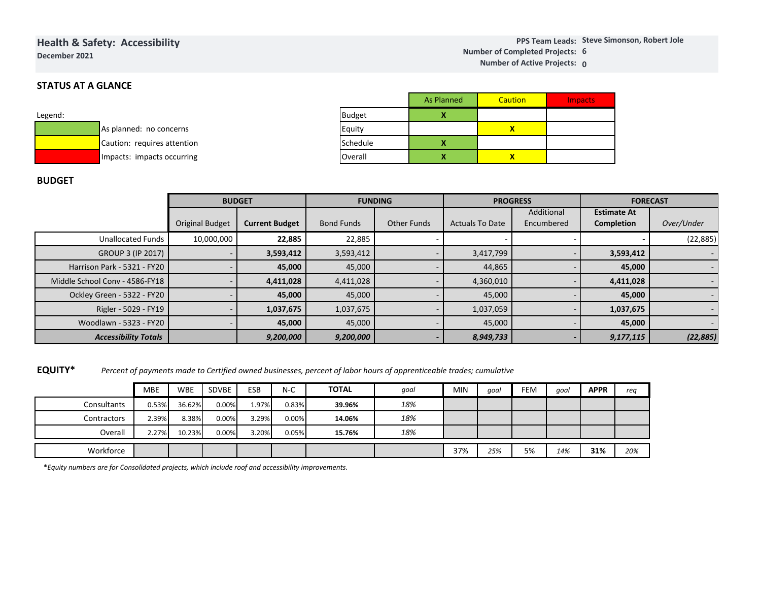### **Health & Safety: AccessibilityDecember 2021**

**Steve Simonson, Robert JolePPS Team Leads:6Number of Completed Projects: 0 Number of Active Projects:**

### **STATUS AT A GLANCE**

| Legend: |                             |
|---------|-----------------------------|
|         | As planned: no concerns     |
|         | Caution: requires attention |
|         | Impacts: impacts occurring  |

|               | <b>As Planned</b> | Caution | <b>Impacts</b> |
|---------------|-------------------|---------|----------------|
| <b>Budget</b> |                   |         |                |
| Equity        |                   |         |                |
| Schedule      |                   |         |                |
| Overall       |                   |         |                |

#### **BUDGET**

|                                | <b>BUDGET</b>          |                       | <b>FUNDING</b>    |             |                        | <b>PROGRESS</b> | <b>FORECAST</b>    |                          |  |
|--------------------------------|------------------------|-----------------------|-------------------|-------------|------------------------|-----------------|--------------------|--------------------------|--|
|                                |                        |                       |                   |             |                        | Additional      | <b>Estimate At</b> |                          |  |
|                                | <b>Original Budget</b> | <b>Current Budget</b> | <b>Bond Funds</b> | Other Funds | <b>Actuals To Date</b> | Encumbered      | <b>Completion</b>  | Over/Under               |  |
| <b>Unallocated Funds</b>       | 10,000,000             | 22,885                | 22,885            |             |                        |                 |                    | (22, 885)                |  |
| GROUP 3 (IP 2017)              |                        | 3,593,412             | 3,593,412         |             | 3,417,799              |                 | 3,593,412          | $\sim$                   |  |
| Harrison Park - 5321 - FY20    |                        | 45,000                | 45,000            |             | 44,865                 |                 | 45,000             | $\sim$                   |  |
| Middle School Conv - 4586-FY18 |                        | 4,411,028             | 4,411,028         |             | 4,360,010              |                 | 4,411,028          | $\sim$                   |  |
| Ockley Green - 5322 - FY20     |                        | 45,000                | 45,000            |             | 45,000                 |                 | 45,000             | $\sim$                   |  |
| Rigler - 5029 - FY19           |                        | 1,037,675             | 1,037,675         |             | 1,037,059              |                 | 1,037,675          | $\overline{\phantom{0}}$ |  |
| Woodlawn - 5323 - FY20         |                        | 45,000                | 45,000            |             | 45,000                 |                 | 45,000             |                          |  |
| <b>Accessibility Totals</b>    |                        | 9,200,000             | 9,200,000         |             | 8,949,733              |                 | 9,177,115          | (22, 885)                |  |

|                            |                             |            |       |           | 4,411,020 | 4,411,020                                                                                                           |           |            | 4,300,010 |        |           |             | 4,411,020 |  |           |        |  |
|----------------------------|-----------------------------|------------|-------|-----------|-----------|---------------------------------------------------------------------------------------------------------------------|-----------|------------|-----------|--------|-----------|-------------|-----------|--|-----------|--------|--|
| Ockley Green - 5322 - FY20 |                             |            |       | 45,000    |           | 45,000                                                                                                              |           |            | 45,000    |        |           |             | 45,000    |  |           |        |  |
| Rigler - 5029 - FY19       |                             |            |       | 1,037,675 |           | 1,037,675                                                                                                           |           |            | 1,037,059 |        |           |             | 1,037,675 |  |           |        |  |
| Woodlawn - 5323 - FY20     |                             |            |       |           |           |                                                                                                                     |           | 45,000     |           | 45,000 |           | 45,000      |           |  |           | 45,000 |  |
|                            | <b>Accessibility Totals</b> |            |       |           |           |                                                                                                                     | 9,200,000 | 9,200,000  |           |        | 8,949,733 |             |           |  | 9,177,115 |        |  |
| <b>EQUITY*</b>             |                             |            |       |           |           | Percent of payments made to Certified owned businesses, percent of labor hours of apprenticeable trades; cumulative |           |            |           |        |           |             |           |  |           |        |  |
|                            | <b>MBE</b>                  | <b>WBE</b> | SDVBE | ESB       | $N-C$     | <b>TOTAL</b>                                                                                                        | qoal      | <b>MIN</b> | goal      | FEM    | goal      | <b>APPR</b> | req       |  |           |        |  |
| Consultants                | 0.53%                       | 36.62%     | 0.00% | 1.97%     | 0.83%     | 39.96%                                                                                                              | 18%       |            |           |        |           |             |           |  |           |        |  |
| Contractors                | 2.39%                       | 8.38%      | 0.00% | 3.29%     | 0.00%     | 14.06%                                                                                                              | 18%       |            |           |        |           |             |           |  |           |        |  |
| Overall                    | 2.27%                       | 10.23%     | 0.00% | 3.20%     | 0.05%     | 15.76%                                                                                                              | 18%       |            |           |        |           |             |           |  |           |        |  |

\**Equity numbers are for Consolidated projects, which include roof and accessibility improvements.*